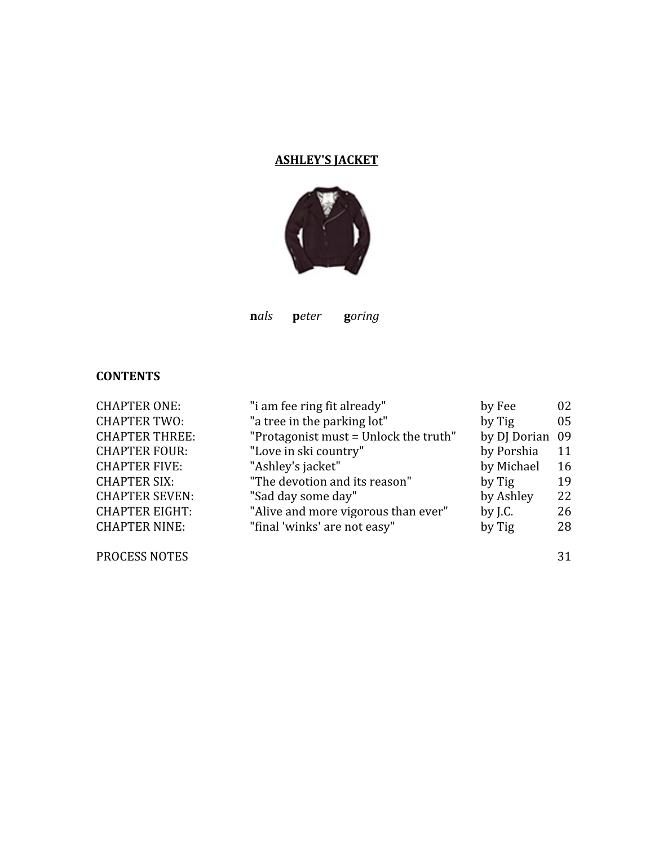# **ASHLEY'S
JACKET**



nals peter goring

# **CONTENTS**

| <b>CHAPTER ONE:</b>   | "i am fee ring fit already"           | by Fee          | 02 |
|-----------------------|---------------------------------------|-----------------|----|
| <b>CHAPTER TWO:</b>   | "a tree in the parking lot"           | by Tig          | 05 |
| <b>CHAPTER THREE:</b> | "Protagonist must = Unlock the truth" | by DJ Dorian 09 |    |
| <b>CHAPTER FOUR:</b>  | "Love in ski country"                 | by Porshia      | 11 |
| <b>CHAPTER FIVE:</b>  | "Ashley's jacket"                     | by Michael      | 16 |
| <b>CHAPTER SIX:</b>   | "The devotion and its reason"         | by Tig          | 19 |
| <b>CHAPTER SEVEN:</b> | "Sad day some day"                    | by Ashley       | 22 |
| <b>CHAPTER EIGHT:</b> | "Alive and more vigorous than ever"   | by $J.C.$       | 26 |
| <b>CHAPTER NINE:</b>  | "final 'winks' are not easy"          | by Tig          | 28 |
|                       |                                       |                 |    |
| <b>PROCESS NOTES</b>  |                                       |                 | 31 |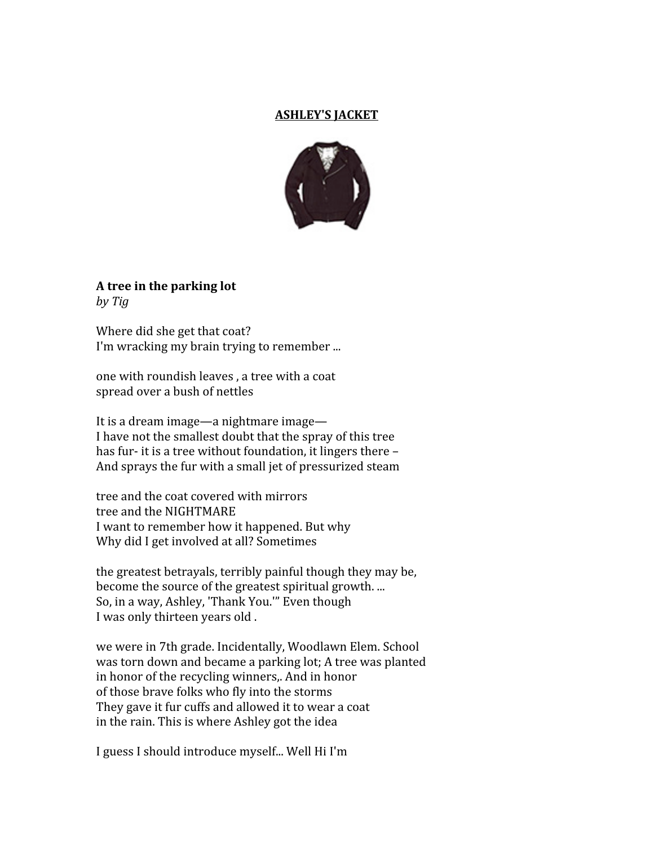#### **ASHLEY'S
JACKET**



**A
tree
in
the
parking
lot** *by
Tig*

Where did she get that coat? I'm wracking my brain trying to remember ...

one
with
roundish
leaves
,
a
tree
with
a
coat spread
over
a
bush
of
nettles

It is a dream image—a nightmare image— I have not the smallest doubt that the spray of this tree has fur- it is a tree without foundation, it lingers there -And sprays the fur with a small jet of pressurized steam

tree
and
the
coat
covered
with
mirrors tree
and
the
NIGHTMARE I want to remember how it happened. But why Why did I get involved at all? Sometimes

the
greatest
betrayals,
terribly
painful
though
they
may
be, become the source of the greatest spiritual growth.... So,
in
a
way,
Ashley,
'Thank
You.'"
Even
though I
was
only
thirteen
years
old
.

we
were
in
7th
grade.
Incidentally,
Woodlawn
Elem.
School was
torn
down
and
became
a
parking
lot;
A
tree
was
planted in
honor
of
the
recycling
winners,.
And
in
honor of
those
brave
folks
who
fly
into
the
storms They
gave
it
fur
cuffs
and
allowed
it
to
wear
a
coat in
the
rain.
This
is
where
Ashley
got
the
idea

I guess I should introduce myself... Well Hi I'm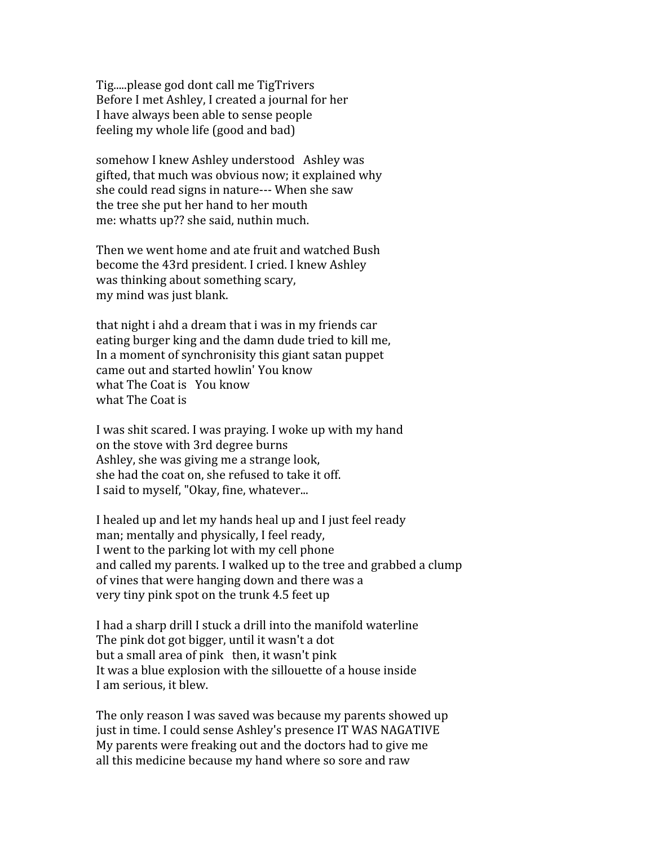Tig.....please god dont call me TigTrivers Before
I
met
Ashley,
I
created
a
journal
for
her I
have
always
been
able
to
sense
people feeling
my
whole
life
(good
and
bad)

somehow
I
knew
Ashley
understood Ashley
was gifted,
that
much
was
obvious
now;
it
explained
why she
could
read
signs
in
nature‐‐‐
When
she
saw the
tree
she
put
her
hand
to
her
mouth me:
whatts
up??
she
said,
nuthin
much.

Then
we
went
home
and
ate
fruit
and
watched
Bush become
the
43rd
president.
I
cried.
I
knew
Ashley was
thinking
about
something
scary, my
mind
was
just
blank.

that night i ahd a dream that i was in my friends car eating burger king and the damn dude tried to kill me, In
a
moment
of
synchronisity
this
giant
satan
puppet came
out
and
started
howlin'
You
know what The Coat is You know what
The
Coat
is

I was shit scared. I was praying. I woke up with my hand on
the
stove
with
3rd
degree
burns Ashley,
she
was
giving
me
a
strange
look, she
had
the
coat
on,
she
refused
to
take
it
off. I
said
to
myself,
"Okay,
fine,
whatever...

I healed up and let my hands heal up and I just feel ready man;
mentally
and
physically,
I
feel
ready, I went to the parking lot with my cell phone and called my parents. I walked up to the tree and grabbed a clump of
vines
that
were
hanging
down
and
there
was
a very
tiny
pink
spot
on
the
trunk
4.5
feet
up

I had a sharp drill I stuck a drill into the manifold waterline The
pink
dot
got
bigger,
until
it
wasn't
a
dot but
a
small
area
of
pink then,
it
wasn't
pink It
was
a
blue
explosion
with
the
sillouette
of
a
house
inside I
am
serious,
it
blew.

The
only
reason
I
was
saved
was
because
my
parents
showed
up just
in
time.
I
could
sense
Ashley's
presence
IT
WAS
NAGATIVE My
parents
were
freaking
out
and
the
doctors
had
to
give
me all
this
medicine
because
my
hand
where
so
sore
and
raw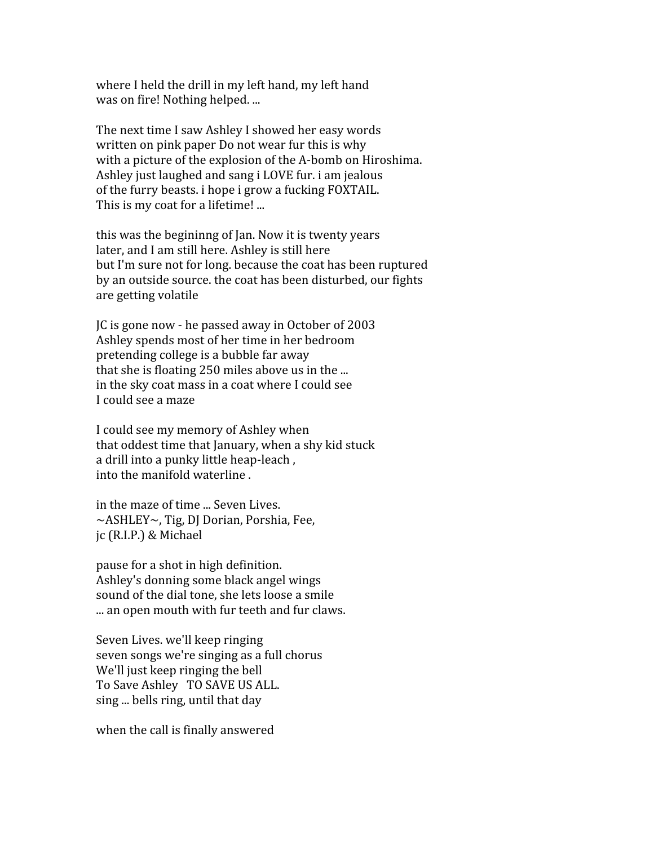where I held the drill in my left hand, my left hand was
on
fire!
Nothing
helped.
...

The
next
time
I
saw
Ashley
I
showed
her
easy
words written on pink paper Do not wear fur this is why with a picture of the explosion of the A-bomb on Hiroshima. Ashley
just
laughed
and
sang
i
LOVE
fur.
i
am
jealous of
the
furry
beasts.
i
hope
i
grow
a
fucking
FOXTAIL. This is my coat for a lifetime! ...

this
was
the
begininng
of
Jan.
Now
it
is
twenty
years later,
and
I
am
still
here.
Ashley
is
still
here but
I'm
sure
not
for
long.
because
the
coat
has
been
ruptured by
an
outside
source.
the
coat
has
been
disturbed,
our
fights are
getting
volatile

JC
is
gone
now
‐
he
passed
away
in
October
of
2003 Ashley
spends
most
of
her
time
in
her
bedroom pretending
college
is
a
bubble
far
away that she is floating 250 miles above us in the ... in
the
sky
coat
mass
in
a
coat
where
I
could
see I
could
see
a
maze

I
could
see
my
memory
of
Ashley
when that
oddest
time
that
January,
when
a
shy
kid
stuck a
drill
into
a
punky
little
heap‐leach
, into
the
manifold
waterline
.

in
the
maze
of
time
...
Seven
Lives. ~ASHLEY~, Tig, DJ Dorian, Porshia, Fee, jc
(R.I.P.)
&
Michael

pause
for
a
shot
in
high
definition. Ashley's
donning
some
black
angel
wings sound
of
the
dial
tone,
she
lets
loose
a
smile ... an open mouth with fur teeth and fur claws.

Seven
Lives.
we'll
keep
ringing seven
songs
we're
singing
as
a
full
chorus We'll just keep ringing the bell To
Save
Ashley TO
SAVE
US
ALL. sing
...
bells
ring,
until
that
day

when
the
call
is
finally
answered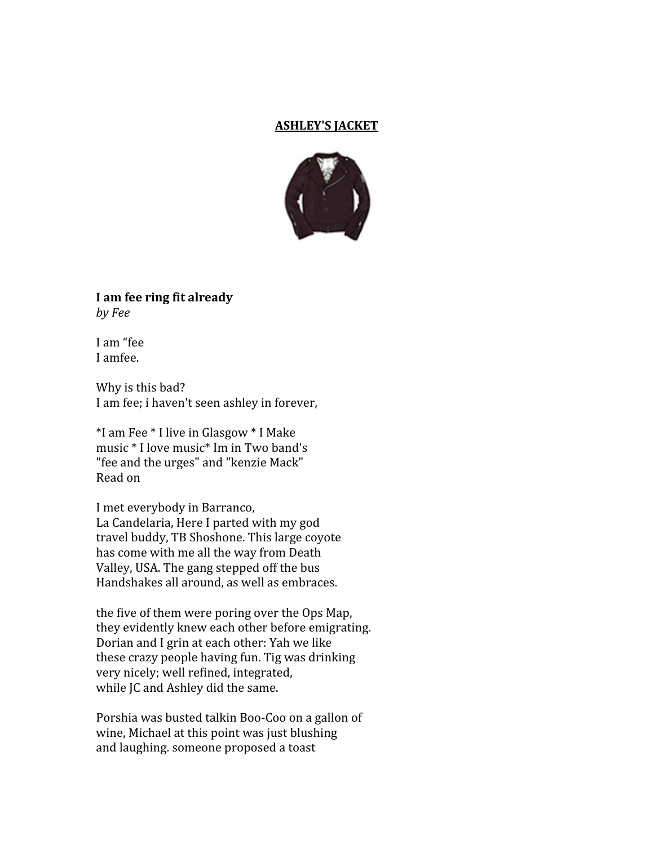#### **ASHLEY'S
JACKET**



**I
am
fee
ring
fit
already** *by
Fee*

I
am
"fee I
amfee.

Why is this bad? I am fee; i haven't seen ashley in forever,

\*I
am
Fee
\*
I
live
in
Glasgow
\*
I
Make music
\*
I
love
music\*
Im
in
Two
band's "fee and the urges" and "kenzie Mack" Read
on

I
met
everybody
in
Barranco, La
Candelaria,
Here
I
parted
with
my
god travel
buddy,
TB
Shoshone.
This
large
coyote has
come
with
me
all
the
way
from
Death Valley,
USA.
The
gang
stepped
off
the
bus Handshakes
all
around,
as
well
as
embraces.

the
five
of
them
were
poring
over
the
Ops
Map, they
evidently
knew
each
other
before
emigrating. Dorian and I grin at each other: Yah we like these
crazy
people
having
fun.
Tig
was
drinking very
nicely;
well
refined,
integrated, while JC and Ashley did the same.

Porshia was busted talkin Boo-Coo on a gallon of wine,
Michael
at
this
point
was
just
blushing and
laughing.
someone
proposed
a
toast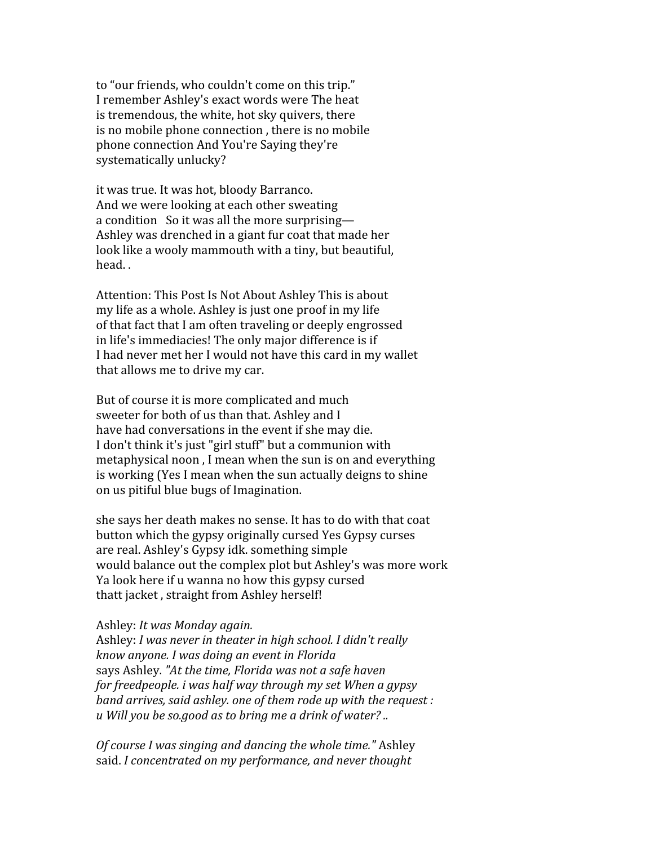to
"our
friends,
who
couldn't
come
on
this
trip." I
remember
Ashley's
exact
words
were
The
heat is
tremendous,
the
white,
hot
sky
quivers,
there is
no
mobile
phone
connection
,
there
is
no
mobile phone
connection
And
You're
Saying
they're systematically
unlucky?

it
was
true.
It
was
hot,
bloody
Barranco. And
we
were
looking
at
each
other
sweating a condition So it was all the more surprising— Ashley
was
drenched
in
a
giant
fur
coat
that
made
her look like a wooly mammouth with a tiny, but beautiful, head.
.

Attention:
This
Post
Is
Not
About
Ashley
This
is
about my
life
as
a
whole.
Ashley
is
just
one
proof
in
my
life of
that
fact
that
I
am
often
traveling
or
deeply
engrossed in
life's
immediacies!
The
only
major
difference
is
if I had never met her I would not have this card in my wallet that
allows
me
to
drive
my
car.

But
of
course
it
is
more
complicated
and
much sweeter for both of us than that. Ashley and I have
had
conversations
in
the
event
if
she
may
die. I don't think it's just "girl stuff" but a communion with metaphysical noon, I mean when the sun is on and everything is
working
(Yes
I
mean
when
the
sun
actually
deigns
to
shine on
us
pitiful
blue
bugs
of
Imagination.

she
says
her
death
makes
no
sense.
It
has
to
do
with
that
coat button
which
the
gypsy
originally
cursed
Yes
Gypsy
curses are
real.
Ashley's
Gypsy
idk.
something
simple would balance out the complex plot but Ashley's was more work Ya
look
here
if
u
wanna
no
how
this
gypsy
cursed thatt
jacket
,
straight
from
Ashley
herself!

#### Ashley: *It
was
Monday
again.*

Ashley: *I
was
never
in
theater
in
high
school.
I
didn't
really know
anyone.
I
was
doing
an
event
in
Florida* says
Ashley. *"At
the
time,
Florida
was
not
a
safe
haven for
freedpeople.
i
was
half
way
through
my
set
When
a
gypsy* band arrives, said ashley. one of them rode up with the request : *u
Will
you
be
so.good
as
to
bring
me
a
drink
of
water?
..*

*Of
course
I
was
singing
and
dancing
the
whole
time."*Ashley said. *I
concentrated
on
my
performance,
and
never
thought*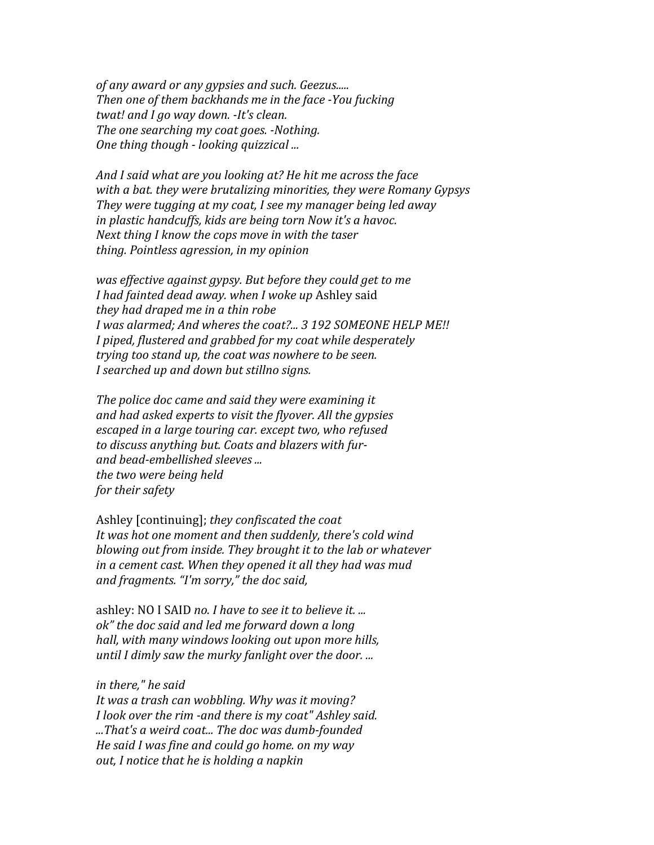*of
any
award
or
any
gypsies
and
such.
Geezus..... Then
one
of
them
backhands
me
in
the
face
You
fucking twat!
and
I
go
way
down.
It's
clean. The
one
searching
my
coat
goes.
Nothing. One
thing
though

looking
quizzical
...*

*And
I
said
what
are
you
looking
at?
He
hit
me
across
the
face* with a bat. they were brutalizing minorities, they were Romany Gypsys *They
were
tugging
at
my
coat,
I
see
my
manager
being
led
away in
plastic
handcuffs,
kids
are
being
torn
Now
it's
a
havoc. Next
thing
I
know
the
cops
move
in
with
the
taser thing.
Pointless
agression,
in
my
opinion*

was effective against gypsy. But before they could get to me *I
had
fainted
dead
away.
when
I
woke
up* Ashley
said they had draped me in a thin robe I was alarmed; And wheres the coat?... 3 192 SOMEONE HELP ME!! *I
piped,
flustered
and
grabbed
for
my
coat
while
desperately trying
too
stand
up,
the
coat
was
nowhere
to
be
seen. I
searched
up
and
down
but
stillno
signs.*

*The
police
doc
came
and
said
they
were
examining
it and
had
asked
experts
to
visit
the
flyover.
All
the
gypsies escaped
in
a
large
touring
car.
except
two,
who
refused to
discuss
anything
but.
Coats
and
blazers
with
fur*and bead-embellished sleeves ... *the
two
were
being
held for
their
safety*

Ashley
[continuing]; *they
confiscated
the
coat*  It was hot one moment and then suddenly, there's cold wind *blowing
out
from
inside.
They
brought
it
to
the
lab
or
whatever* in a cement cast. When they opened it all they had was mud *and
fragments.
"I'm
sorry,"
the
doc
said,*

ashley: NO I SAID no. I have to see it to believe it. ... *ok"
the
doc
said
and
led
me
forward
down
a
long hall,
with
many
windows
looking
out
upon
more
hills, until
I
dimly
saw
the
murky
fanlight
over
the
door.
...*

#### *in
there,"
he
said*

*It
was
a
trash
can
wobbling.
Why
was
it
moving?* I look over the rim -and there is my coat" Ashley said. *...That's
a
weird
coat...
The
doc
was
dumbfounded He
said
I
was
fine
and
could
go
home.
on
my
way out,
I
notice
that
he
is
holding
a
napkin*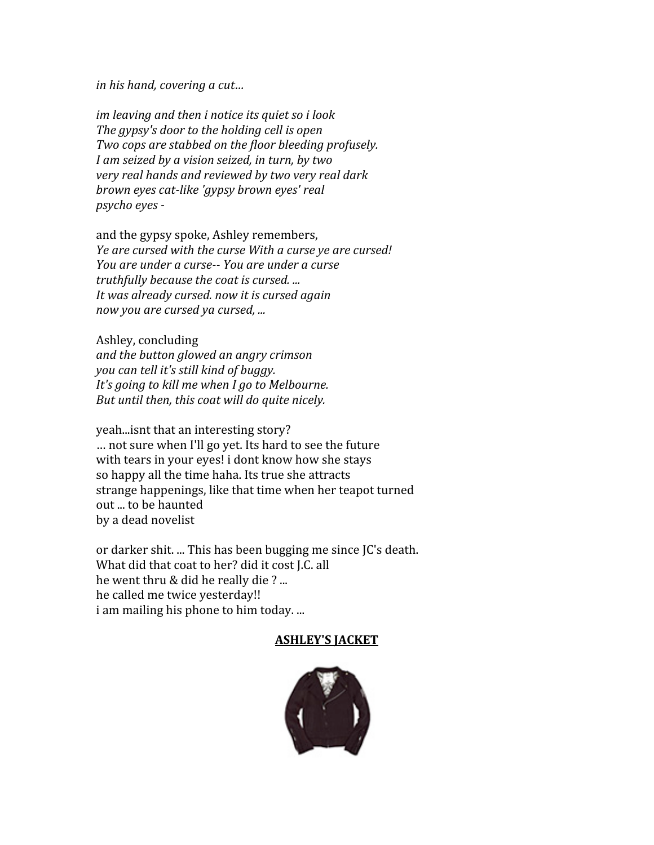*in
his
hand,
covering
a
cut…* 

im leaving and then *i* notice its quiet so *i* look *The
gypsy's
door
to
the
holding
cell
is
open Two
cops
are
stabbed
on
the
floor
bleeding
profusely.* I am seized by a vision seized, in turn, by two *very
real
hands
and
reviewed
by
two
very
real
dark brown
eyes
catlike
'gypsy
brown
eyes'
real psycho
eyes* 

and
the
gypsy
spoke,
Ashley
remembers, Ye are cursed with the curse With a curse ye are cursed! *You
are
under
a
curse
You
are
under
a
curse truthfully
because
the
coat
is
cursed.
... It
was
already
cursed.
now
it
is
cursed
again now
you
are
cursed
ya
cursed,
...*

Ashley,
concluding *and
the
button
glowed
an
angry
crimson you
can
tell
it's
still
kind
of
buggy.*  It's going to kill me when I go to Melbourne. *But
until
then,
this
coat
will
do
quite
nicely.*

yeah...isnt
that
an
interesting
story? …
not
sure
when
I'll
go
yet.
Its
hard
to
see
the
future with tears in your eyes! i dont know how she stays so
happy
all
the
time
haha.
Its
true
she
attracts strange
happenings,
like
that
time
when
her
teapot
turned out
...
to
be
haunted by
a
dead
novelist

or
darker
shit.
...
This
has
been
bugging
me
since
JC's
death. What did that coat to her? did it cost J.C. all he went thru & did he really die ?... he
called
me
twice
yesterday!! i am mailing his phone to him today. ...

#### **ASHLEY'S
JACKET**

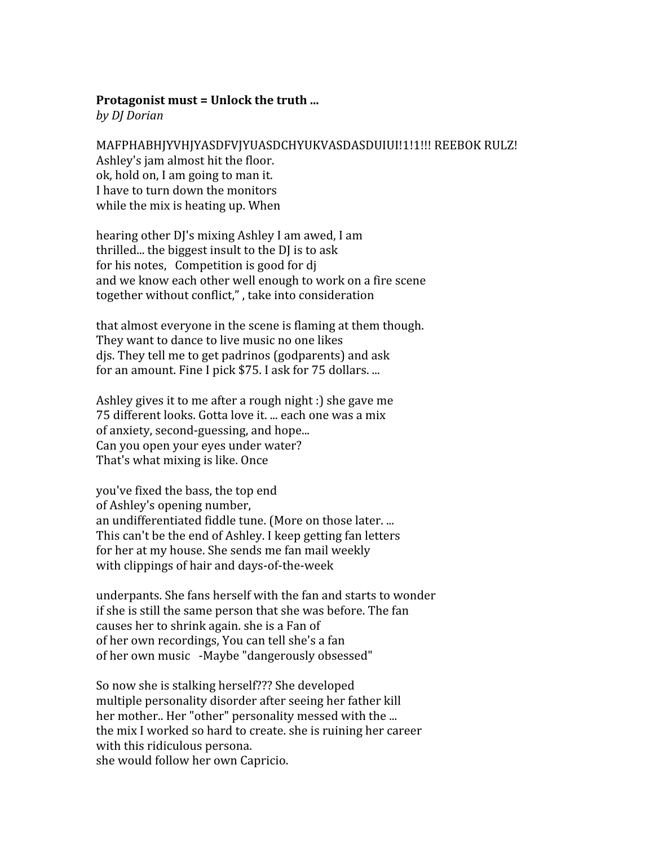#### Protagonist must = Unlock the truth ...

*by
DJ
Dorian*

MAFPHABHJYVHJYASDFVJYUASDCHYUKVASDASDUJUI!1!1!!! REEBOK RULZ! Ashley's
jam
almost
hit
the
floor. ok,
hold
on,
I
am
going
to
man
it. I
have
to
turn
down
the
monitors while the mix is heating up. When

hearing other DJ's mixing Ashley I am awed, I am thrilled... the biggest insult to the DJ is to ask for his notes, Competition is good for di and
we
know
each
other
well
enough
to
work
on
a
fire
scene together
without
conflict,"
,
take
into
consideration

that
almost
everyone
in
the
scene
is
flaming
at
them
though. They
want
to
dance
to
live
music
no
one
likes djs.
They
tell
me
to
get
padrinos
(godparents)
and
ask for an amount. Fine I pick \$75. I ask for 75 dollars. ...

Ashley
gives
it
to
me
after
a
rough
night
:)
she
gave
me 75
different
looks.
Gotta
love
it.
...
each
one
was
a
mix of
anxiety,
second‐guessing,
and
hope... Can
you
open
your
eyes
under
water? That's
what
mixing
is
like.
Once

you've
fixed
the
bass,
the
top
end of
Ashley's
opening
number, an
undifferentiated
fiddle
tune.
(More
on
those
later.
... This
can't
be
the
end
of
Ashley.
I
keep
getting
fan
letters for
her
at
my
house.
She
sends
me
fan
mail
weekly with clippings of hair and days-of-the-week

underpants.
She
fans
herself
with
the
fan
and
starts
to
wonder if
she
is
still
the
same
person
that
she
was
before.
The
fan causes
her
to
shrink
again.
she
is
a
Fan
of of
her
own
recordings,
You
can
tell
she's
a
fan of
her
own
music ‐Maybe
"dangerously
obsessed"

So
now
she
is
stalking
herself???
She
developed multiple
personality
disorder
after
seeing
her
father
kill her mother.. Her "other" personality messed with the ... the
mix
I
worked
so
hard
to
create.
she
is
ruining
her
career with this ridiculous persona. she
would
follow
her
own
Capricio.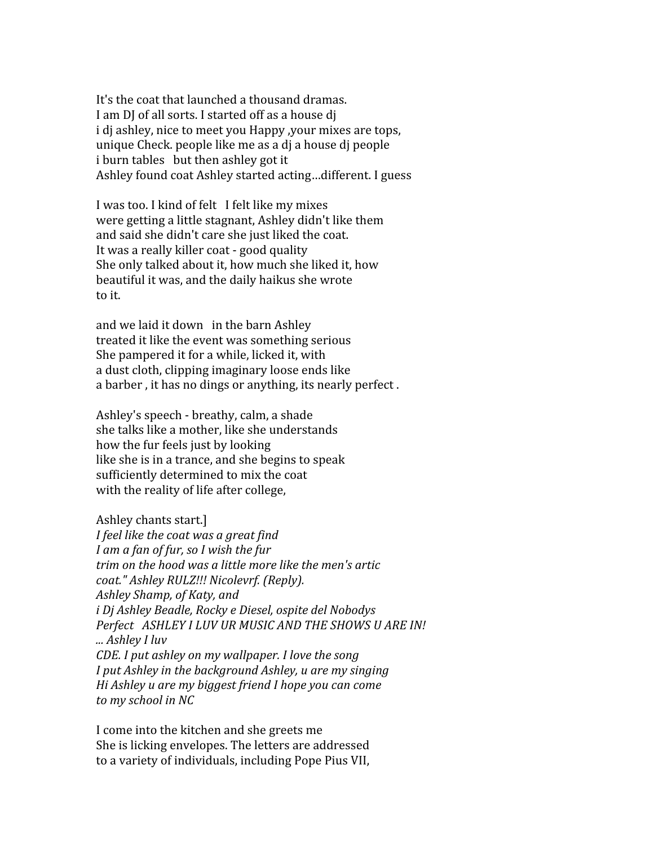It's the coat that launched a thousand dramas. I am DJ of all sorts. I started off as a house dj i di ashley, nice to meet you Happy , your mixes are tops, unique
Check.
people
like
me
as
a
dj
a
house
dj
people i burn tables but then ashley got it Ashley found coat Ashley started acting...different. I guess

I
was
too.
I
kind
of
felt I
felt
like
my
mixes were
getting
a
little
stagnant,
Ashley
didn't
like
them and
said
she
didn't
care
she
just
liked
the
coat. It was a really killer coat - good quality She
only
talked
about
it,
how
much
she
liked
it,
how beautiful
it
was,
and
the
daily
haikus
she
wrote to
it.

and
we
laid
it
down in
the
barn
Ashley treated
it
like
the
event
was
something
serious She
pampered
it
for
a
while,
licked
it,
with a
dust
cloth,
clipping
imaginary
loose
ends
like a barber, it has no dings or anything, its nearly perfect.

Ashley's
speech
‐
breathy,
calm,
a
shade she
talks
like
a
mother,
like
she
understands how
the
fur
feels
just
by
looking like she is in a trance, and she begins to speak sufficiently
determined
to
mix
the
coat with the reality of life after college,

```
Ashley
chants
start.]
```
*I
feel
like
the
coat
was
a
great
find I
am
a
fan
of
fur,
so
I
wish
the
fur trim
on
the
hood
was
a
little
more
like
the
men's
artic coat."
Ashley
RULZ!!!
Nicolevrf.
(Reply). Ashley
Shamp,
of
Katy,
and i
Dj
Ashley
Beadle,
Rocky
e
Diesel,
ospite
del
Nobodys* Perfect ASHLEY I LUV UR MUSIC AND THE SHOWS U ARE IN! *...
Ashley
I
luv CDE.
I
put
ashley
on
my
wallpaper.
I
love
the
song* I put Ashley in the background Ashley, *u* are my singing *Hi
Ashley
u
are
my
biggest
friend
I
hope
you
can
come to
my
school
in
NC*

I
come
into
the
kitchen
and
she
greets
me She
is
licking
envelopes.
The
letters
are
addressed to
a
variety
of
individuals,
including
Pope
Pius
VII,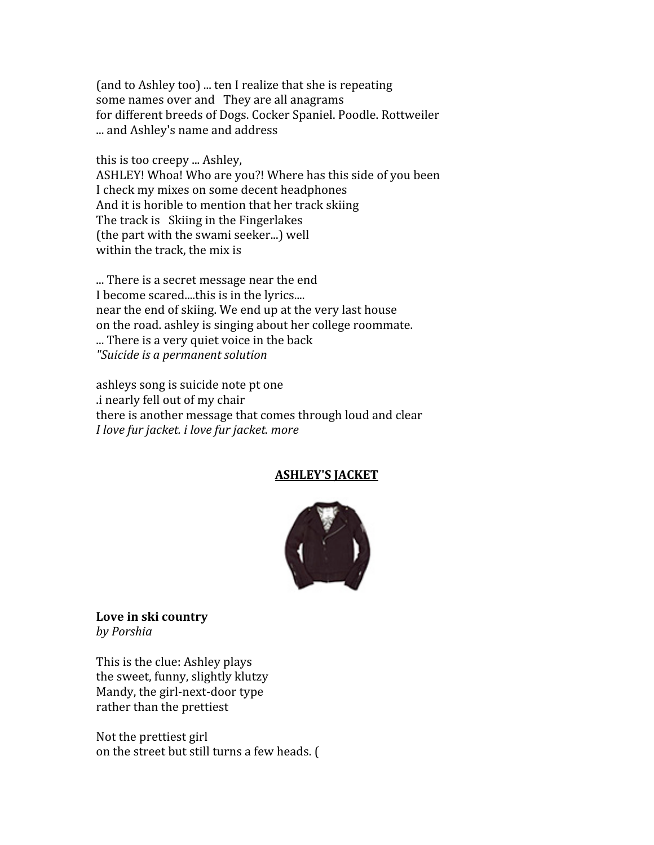(and
to
Ashley
too)
...
ten
I
realize
that
she
is
repeating some names over and They are all anagrams for
different
breeds
of
Dogs.
Cocker
Spaniel.
Poodle.
Rottweiler ...
and
Ashley's
name
and
address

this
is
too
creepy
...
Ashley,

ASHLEY! Whoa! Who are you?! Where has this side of you been I
check
my
mixes
on
some
decent
headphones And
it
is
horible
to
mention
that
her
track
skiing The
track
is Skiing
in
the
Fingerlakes (the
part
with
the
swami
seeker...)
well within the track, the mix is

...
There
is
a
secret
message
near
the
end I become scared....this is in the lyrics.... near
the
end
of
skiing.
We
end
up
at
the
very
last
house on
the
road.
ashley
is
singing
about
her
college
roommate. ...
There
is
a
very
quiet
voice
in
the
back *"Suicide
is
a
permanent
solution*

ashleys
song
is
suicide
note
pt
one .i
nearly
fell
out
of
my
chair there
is
another
message
that
comes
through
loud
and
clear *I
love
fur
jacket.
i
love
fur
jacket.
more*

# **ASHLEY'S
JACKET**



**Love
in
ski
country** *by
Porshia*

This
is
the
clue:
Ashley
plays the
sweet,
funny,
slightly
klutzy Mandy,
the
girl‐next‐door
type rather
than
the
prettiest

Not
the
prettiest
girl on
the
street
but
still
turns
a
few
heads.
(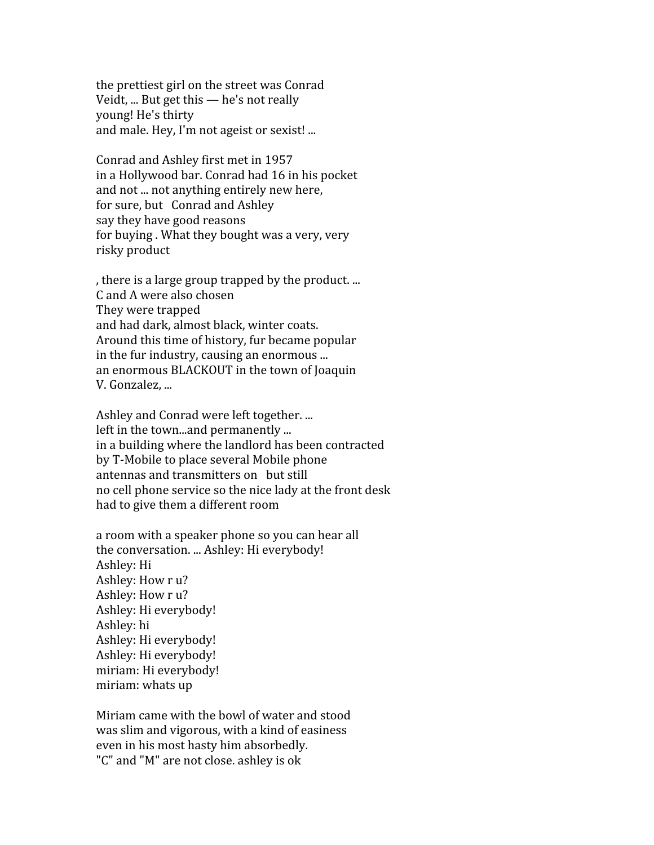the
prettiest
girl
on
the
street
was
Conrad Veidt, ... But get this - he's not really young!
He's
thirty and
male.
Hey,
I'm
not
ageist
or
sexist!
...

Conrad
and
Ashley
first
met
in
1957 in
a
Hollywood
bar.
Conrad
had
16
in
his
pocket and not ... not anything entirely new here, for
sure,
but Conrad
and
Ashley say
they
have
good
reasons for
buying
.
What
they
bought
was
a
very,
very risky
product

,
there
is
a
large
group
trapped
by
the
product.
... C
and
A
were
also
chosen They
were
trapped and
had
dark,
almost
black,
winter
coats. Around
this
time
of
history,
fur
became
popular in
the
fur
industry,
causing
an
enormous
... an
enormous
BLACKOUT
in
the
town
of
Joaquin V.
Gonzalez,
...

Ashley
and
Conrad
were
left
together.
... left in the town...and permanently ... in
a
building
where
the
landlord
has
been
contracted by
T‐Mobile
to
place
several
Mobile
phone antennas
and
transmitters
on but
still no
cell
phone
service
so
the
nice
lady
at
the
front
desk had
to
give
them
a
different
room

a
room
with
a
speaker
phone
so
you
can
hear
all the
conversation.
...
Ashley:
Hi
everybody! Ashley:
Hi Ashley:
How
r
u? Ashley: How r u? Ashley:
Hi
everybody! Ashley:
hi Ashley:
Hi
everybody! Ashley:
Hi
everybody! miriam:
Hi
everybody! miriam:
whats
up

Miriam
came
with
the
bowl
of
water
and
stood was
slim
and
vigorous,
with
a
kind
of
easiness even
in
his
most
hasty
him
absorbedly. "C"
and
"M"
are
not
close.
ashley
is
ok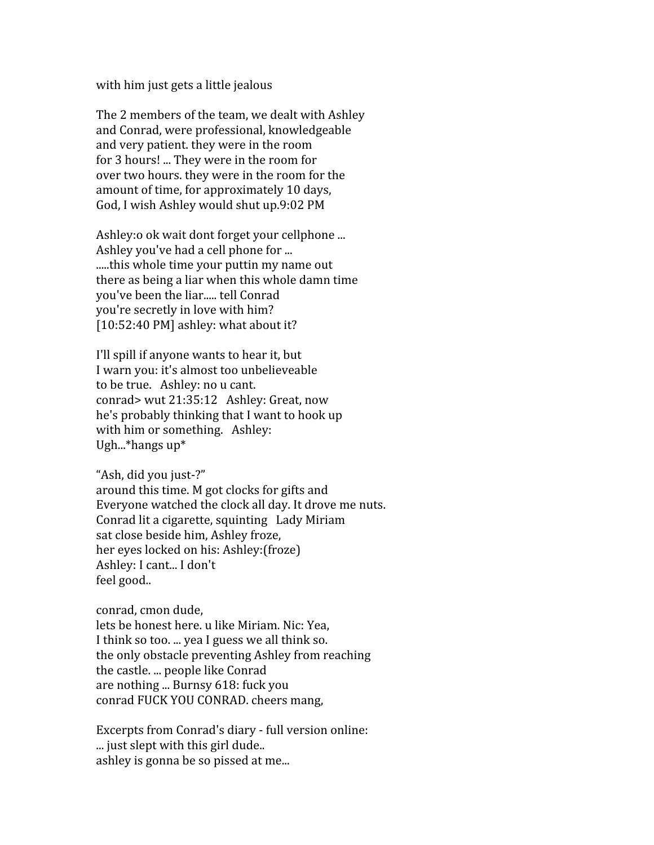with him just gets a little jealous

The
2
members
of
the
team,
we
dealt
with
Ashley and
Conrad,
were
professional,
knowledgeable and
very
patient.
they
were
in
the
room for
3
hours!
...
They
were
in
the
room
for over
two
hours.
they
were
in
the
room
for
the amount of time, for approximately 10 days, God,
I
wish
Ashley
would
shut
up.9:02
PM

Ashley: o ok wait dont forget your cellphone ... Ashley
you've
had
a
cell
phone
for
... .....this
whole
time
your
puttin
my
name
out there
as
being
a
liar
when
this
whole
damn
time you've
been
the
liar.....
tell
Conrad you're
secretly
in
love
with
him? [10:52:40 PM] ashley: what about it?

I'll
spill
if
anyone
wants
to
hear
it,
but I
warn
you:
it's
almost
too
unbelieveable to
be
true. Ashley:
no
u
cant. conrad>
wut
21:35:12 Ashley:
Great,
now he's
probably
thinking
that
I
want
to
hook
up with him or something. Ashley: Ugh...\*hangs
up\*

"Ash,
did
you
just‐?" around
this
time.
M
got
clocks
for
gifts
and Everyone
watched
the
clock
all
day.
It
drove
me
nuts. Conrad
lit
a
cigarette,
squinting Lady
Miriam sat
close
beside
him,
Ashley
froze, her
eyes
locked
on
his:
Ashley:(froze) Ashley:
I
cant...
I
don't feel
good..

conrad,
cmon
dude,

lets be honest here, u like Miriam, Nic: Yea. I think so too. ... yea I guess we all think so. the
only
obstacle
preventing
Ashley
from
reaching the
castle.
...
people
like
Conrad are
nothing
...
Burnsy
618:
fuck
you conrad
FUCK
YOU
CONRAD.
cheers
mang,

Excerpts
from
Conrad's
diary
‐
full
version
online: ... just slept with this girl dude... ashley
is
gonna
be
so
pissed
at
me...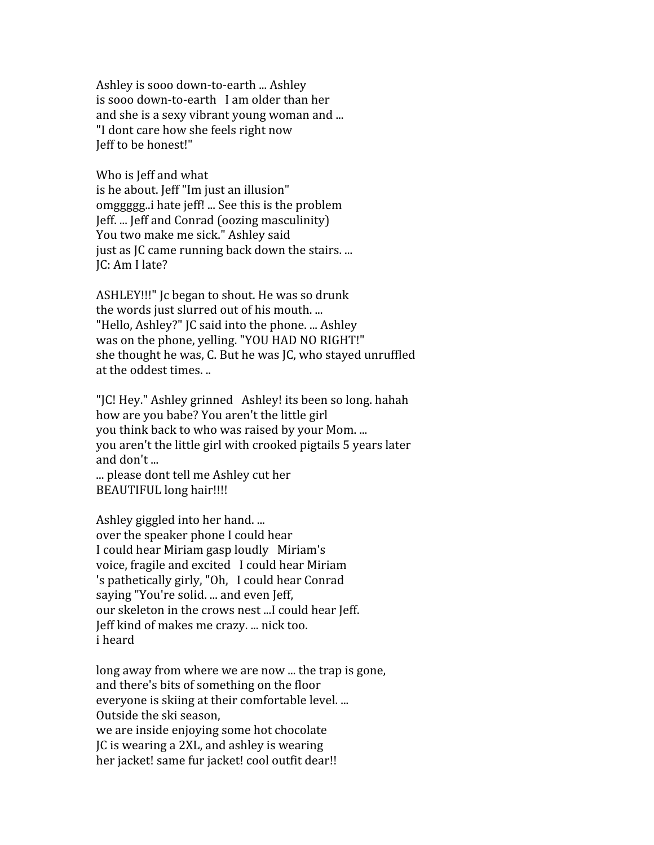Ashley
is
sooo
down‐to‐earth
...
Ashley is
sooo
down‐to‐earth I
am
older
than
her and
she
is
a
sexy
vibrant
young
woman
and
... "I
dont
care
how
she
feels
right
now Jeff
to
be
honest!"

Who is Jeff and what is
he
about.
Jeff
"Im
just
an
illusion" omggggg..i
hate
jeff!
...
See
this
is
the
problem Jeff.
...
Jeff
and
Conrad
(oozing
masculinity) You
two
make
me
sick."
Ashley
said just
as
JC
came
running
back
down
the
stairs.
... JC:
Am
I
late?

ASHLEY!!!"
Jc
began
to
shout.
He
was
so
drunk the words just slurred out of his mouth.... "Hello, Ashley?" IC said into the phone. ... Ashley was
on
the
phone,
yelling.
"YOU
HAD
NO
RIGHT!" she
thought
he
was,
C.
But
he
was
JC,
who
stayed
unruffled at
the
oddest
times.
..

"IC! Hey." Ashley grinned Ashley! its been so long. hahah how are you babe? You aren't the little girl you
think
back
to
who
was
raised
by
your
Mom.
... you
aren't
the
little
girl
with
crooked
pigtails
5
years
later and
don't
... ...
please
dont
tell
me
Ashley
cut
her

BEAUTIFUL
long
hair!!!!

Ashley
giggled
into
her
hand.
... over
the
speaker
phone
I
could
hear I
could
hear
Miriam
gasp
loudly Miriam's voice,
fragile
and
excited I
could
hear
Miriam 's
pathetically
girly,
"Oh, I
could
hear
Conrad saying
"You're
solid.
...
and
even
Jeff, our skeleton in the crows nest ...I could hear Jeff. Jeff
kind
of
makes
me
crazy.
...
nick
too. i
heard

long away from where we are now ... the trap is gone, and
there's
bits
of
something
on
the
floor everyone
is
skiing
at
their
comfortable
level.
... Outside
the
ski
season, we
are
inside
enjoying
some
hot
chocolate JC
is
wearing
a
2XL,
and
ashley
is
wearing

her jacket! same fur jacket! cool outfit dear!!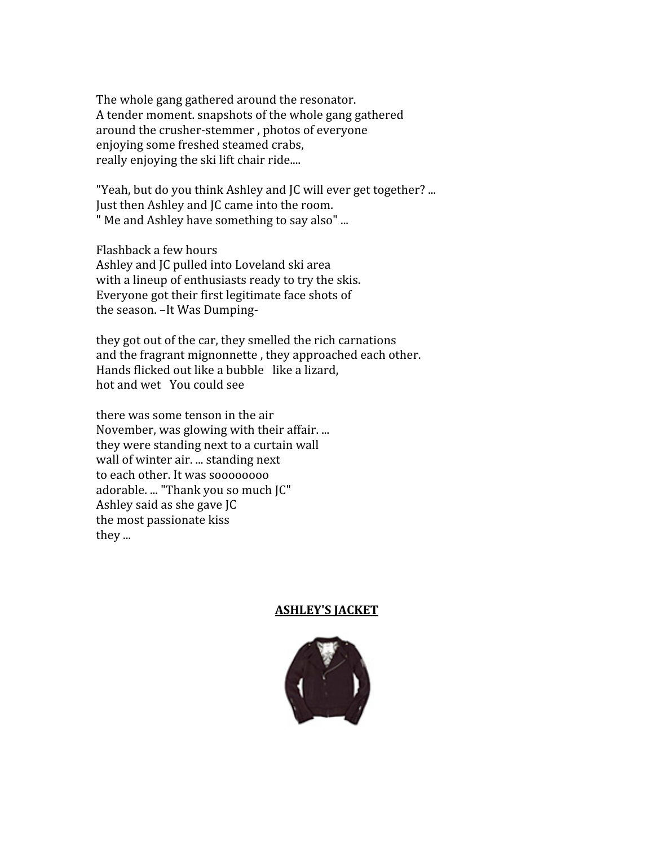The
whole
gang
gathered
around
the
resonator. A
tender
moment.
snapshots
of
the
whole
gang
gathered around
the
crusher‐stemmer
,
photos
of
everyone enjoying
some
freshed
steamed
crabs, really enjoying the ski lift chair ride....

"Yeah, but do you think Ashley and JC will ever get together? ... Just then Ashley and JC came into the room. "
Me
and
Ashley
have
something
to
say
also"
...

Flashback
a
few
hours Ashley
and
JC
pulled
into
Loveland
ski
area with a lineup of enthusiasts ready to try the skis. Everyone
got
their
first
legitimate
face
shots
of the
season.
–It
Was
Dumping‐

they
got
out
of
the
car,
they
smelled
the
rich
carnations and
the
fragrant
mignonnette
,
they
approached
each
other. Hands
flicked
out
like
a
bubble like
a
lizard, hot
and
wet You
could
see

there
was
some
tenson
in
the
air November, was glowing with their affair.... they
were
standing
next
to
a
curtain
wall wall
of
winter
air.
...
standing
next to
each
other.
It
was
soooooooo adorable. ... "Thank you so much JC" Ashley
said
as
she
gave
JC the
most
passionate
kiss they
...

#### **ASHLEY'S
JACKET**

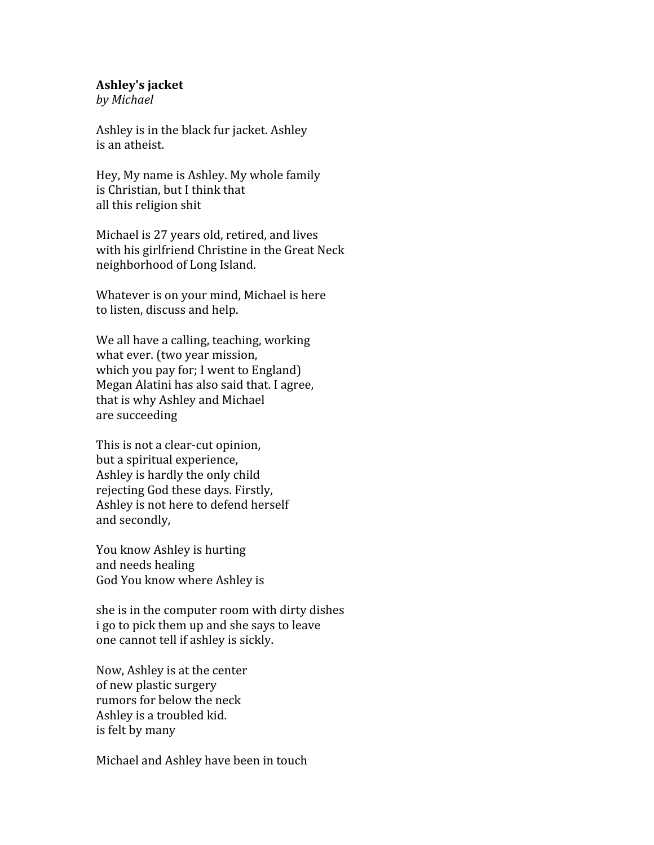#### **Ashley's
jacket**

*by
Michael*

Ashley
is
in
the
black
fur
jacket.
Ashley is
an
atheist.

Hey,
My
name
is
Ashley.
My
whole
family is Christian, but I think that all
this
religion
shit

Michael
is
27
years
old,
retired,
and
lives with his girlfriend Christine in the Great Neck neighborhood
of
Long
Island.

Whatever
is
on
your
mind,
Michael
is
here to
listen,
discuss
and
help.

We all have a calling, teaching, working what
ever.
(two
year
mission, which you pay for; I went to England) Megan
Alatini
has
also
said
that.
I
agree, that
is
why
Ashley
and
Michael are
succeeding

This
is
not
a
clear‐cut
opinion, but
a
spiritual
experience, Ashley
is
hardly
the
only
child rejecting
God
these
days.
Firstly, Ashley
is
not
here
to
defend
herself and
secondly,

You
know
Ashley
is
hurting and
needs
healing God
You
know
where
Ashley
is

she
is
in
the
computer
room
with
dirty
dishes i
go
to
pick
them
up
and
she
says
to
leave one
cannot
tell
if
ashley
is
sickly.

Now,
Ashley
is
at
the
center of
new
plastic
surgery rumors
for
below
the
neck Ashley
is
a
troubled
kid. is
felt
by
many

Michael
and
Ashley
have
been
in
touch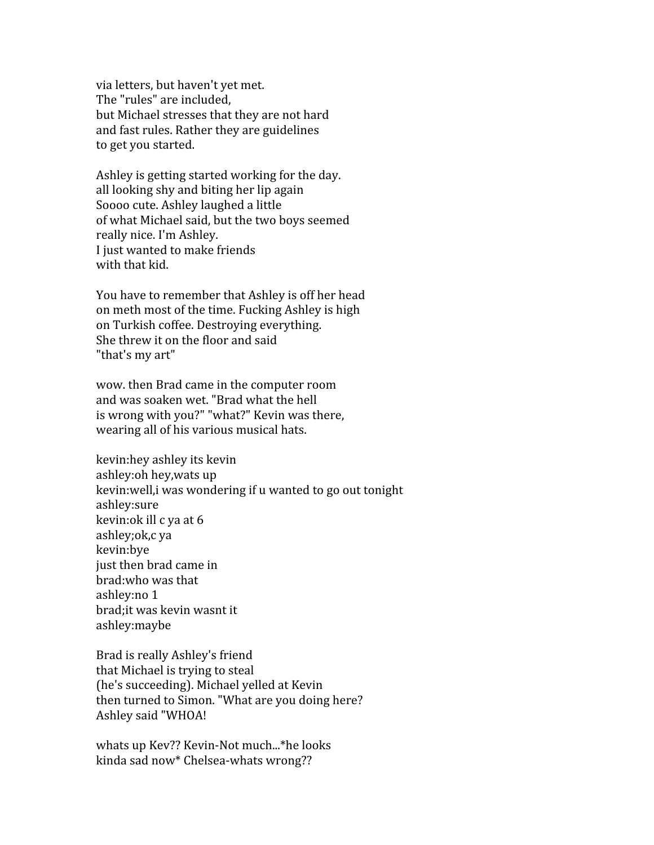via
letters,
but
haven't
yet
met. The
"rules"
are
included, but
Michael
stresses
that
they
are
not
hard and
fast
rules.
Rather
they
are
guidelines to
get
you
started.

Ashley
is
getting
started
working
for
the
day. all
looking
shy
and
biting
her
lip
again Soooo
cute.
Ashley
laughed
a
little of
what
Michael
said,
but
the
two
boys
seemed really
nice.
I'm
Ashley. I
just
wanted
to
make
friends with that kid.

You have to remember that Ashley is off her head on
meth
most
of
the
time.
Fucking
Ashley
is
high on
Turkish
coffee.
Destroying
everything. She
threw
it
on
the
floor
and
said "that's my art"

wow.
then
Brad
came
in
the
computer
room and
was
soaken
wet.
"Brad
what
the
hell is
wrong
with
you?"
"what?"
Kevin
was
there, wearing
all
of
his
various
musical
hats.

kevin: hey ashley its kevin ashley:oh
hey,wats
up kevin: well, i was wondering if u wanted to go out tonight ashley:sure kevin:ok
ill
c
ya
at
6 ashley;ok,c
ya kevin:bye just
then
brad
came
in brad:who
was
that ashley:no
1 brad;it
was
kevin
wasnt
it ashley:maybe

Brad
is
really
Ashley's
friend that
Michael
is
trying
to
steal (he's
succeeding).
Michael
yelled
at
Kevin then
turned
to
Simon.
"What
are
you
doing
here? Ashley
said
"WHOA!

whats
up
Kev??
Kevin‐Not
much...\*he
looks kinda
sad
now\*
Chelsea‐whats
wrong??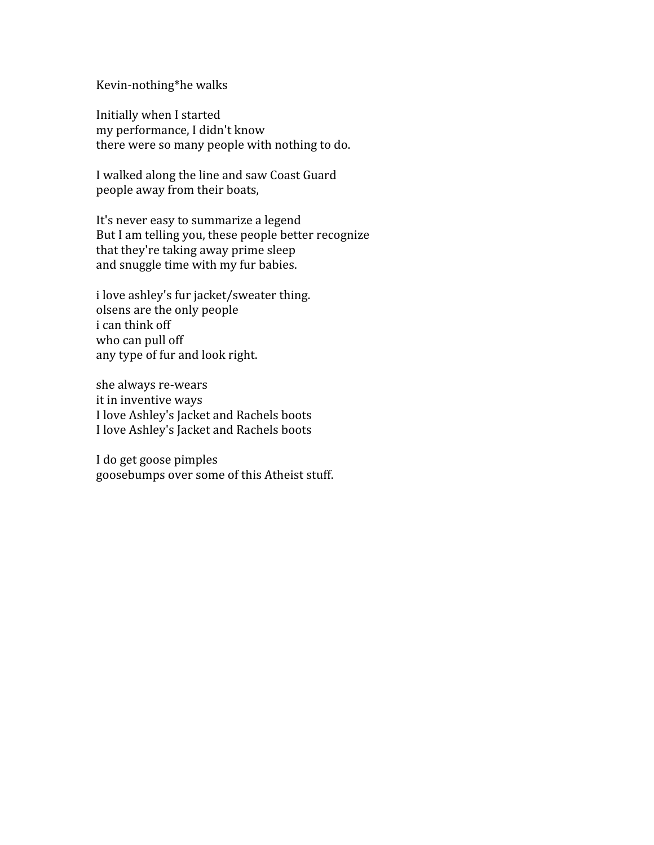#### Kevin‐nothing\*he
walks

Initially
when
I
started my
performance,
I
didn't
know there
were
so
many
people
with
nothing
to
do.

I
walked
along
the
line
and
saw
Coast
Guard people
away
from
their
boats,

It's
never
easy
to
summarize
a
legend But
I
am
telling
you,
these
people
better
recognize that
they're
taking
away
prime
sleep and
snuggle
time
with
my
fur
babies.

i
love
ashley's
fur
jacket/sweater
thing. olsens
are
the
only
people i
can
think
off who
can
pull
off any
type
of
fur
and
look
right.

she
always
re‐wears it
in
inventive
ways I
love
Ashley's
Jacket
and
Rachels
boots I
love
Ashley's
Jacket
and
Rachels
boots

I
do
get
goose
pimples goosebumps
over
some
of
this
Atheist
stuff.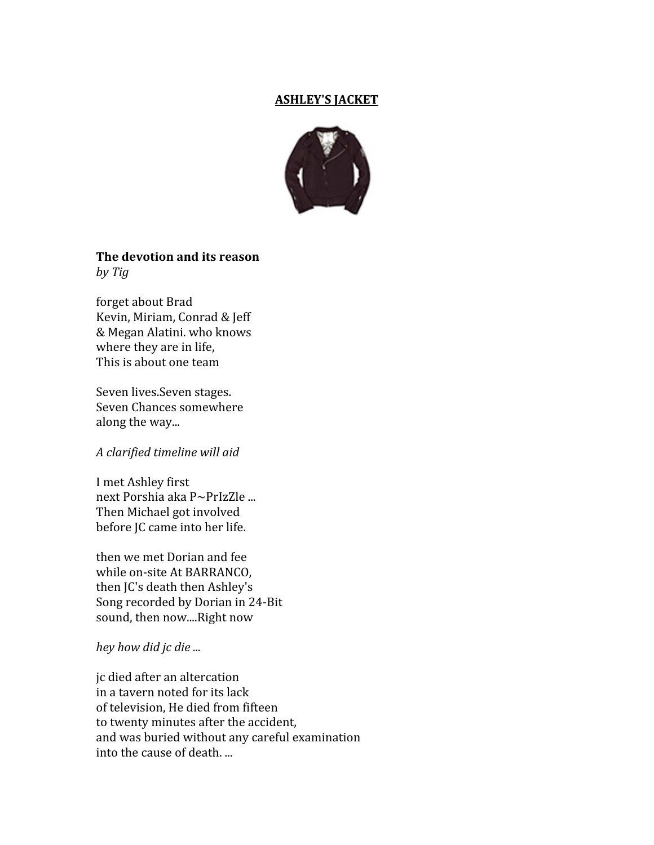#### **ASHLEY'S
JACKET**



#### **The
devotion
and
its
reason** *by
Tig*

forget
about
Brad Kevin,
Miriam,
Conrad
&
Jeff &
Megan
Alatini.
who
knows where they are in life, This
is
about
one
team

Seven
lives.Seven
stages. Seven
Chances
somewhere along
the
way...

#### *A
clarified
timeline
will
aid*

I
met
Ashley
first next Porshia aka P~PrIzZle ... Then
Michael
got
involved before
JC
came
into
her
life.

then
we
met
Dorian
and
fee while
on‐site
At
BARRANCO, then
JC's
death
then
Ashley's Song
recorded
by
Dorian
in
24‐Bit sound,
then
now....Right
now

*hey
how
did
jc
die
...*

jc
died
after
an
altercation in
a
tavern
noted
for
its
lack of
television,
He
died
from
fifteen to
twenty
minutes
after
the
accident, and
was
buried
without
any
careful
examination into
the
cause
of
death.
...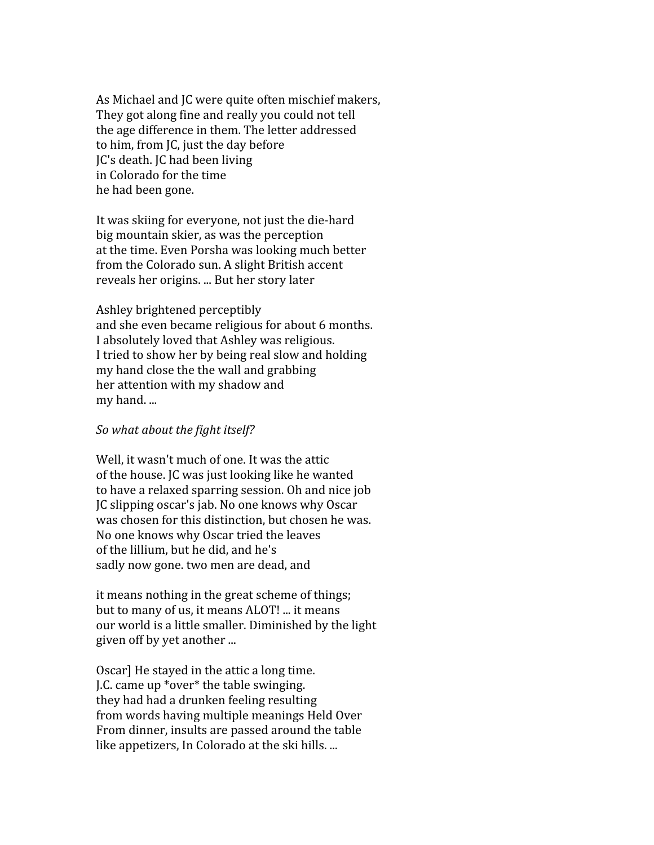As
Michael
and
JC
were
quite
often
mischief
makers, They
got
along
fine
and
really
you
could
not
tell the age difference in them. The letter addressed to
him,
from
JC,
just
the
day
before JC's
death.
JC
had
been
living in
Colorado
for
the
time he
had
been
gone.

It
was
skiing
for
everyone,
not
just
the
die‐hard big
mountain
skier,
as
was
the
perception at
the
time.
Even
Porsha
was
looking
much
better from
the
Colorado
sun.
A
slight
British
accent reveals
her
origins.
...
But
her
story
later

Ashley
brightened
perceptibly and
she
even
became
religious
for
about
6
months. I
absolutely
loved
that
Ashley
was
religious. I tried to show her by being real slow and holding my
hand
close
the
the
wall
and
grabbing her
attention
with
my
shadow
and my
hand.
...

#### *So
what
about
the
fight
itself?*

Well, it wasn't much of one. It was the attic of
the
house.
JC
was
just
looking
like
he
wanted to
have
a
relaxed
sparring
session.
Oh
and
nice
job JC
slipping
oscar's
jab.
No
one
knows
why
Oscar was
chosen
for
this
distinction,
but
chosen
he
was. No
one
knows
why
Oscar
tried
the
leaves of
the
lillium,
but
he
did,
and
he's sadly
now
gone.
two
men
are
dead,
and

it
means
nothing
in
the
great
scheme
of
things; but
to
many
of
us,
it
means
ALOT!
...
it
means our
world
is
a
little
smaller.
Diminished
by
the
light given
off
by
yet
another
...

Oscar]
He
stayed
in
the
attic
a
long
time. J.C.
came
up
\*over\*
the
table
swinging. they
had
had
a
drunken
feeling
resulting from
words
having
multiple
meanings
Held
Over From
dinner,
insults
are
passed
around
the
table like appetizers, In Colorado at the ski hills. ...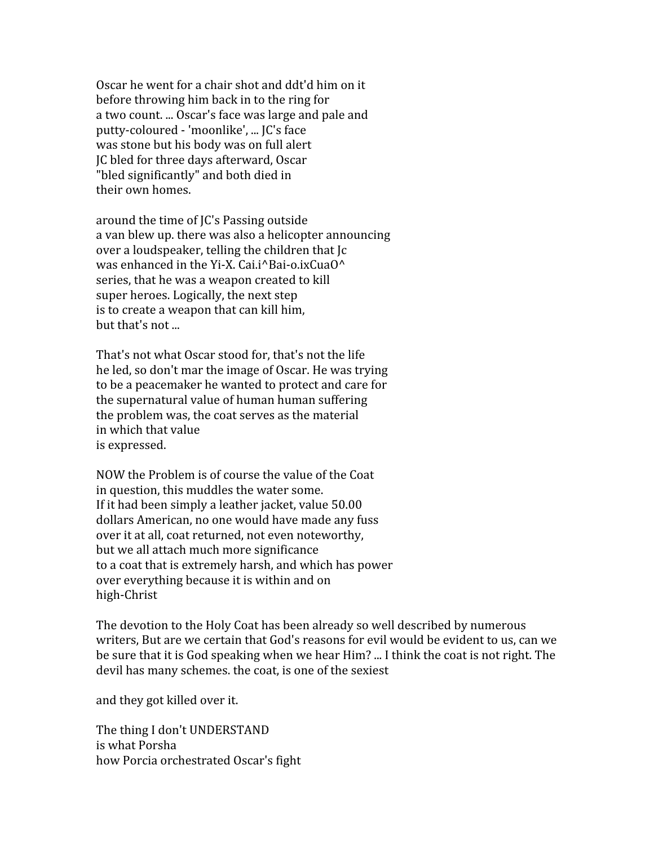Oscar
he
went
for
a
chair
shot
and
ddt'd
him
on
it before
throwing
him
back
in
to
the
ring
for a
two
count.
...
Oscar's
face
was
large
and
pale
and putty‐coloured
‐
'moonlike',
...
JC's
face was
stone
but
his
body
was
on
full
alert JC
bled
for
three
days
afterward,
Oscar "bled
significantly"
and
both
died
in their
own
homes.

around
the
time
of
JC's
Passing
outside a
van
blew
up.
there
was
also
a
helicopter
announcing over
a
loudspeaker,
telling
the
children
that
Jc was enhanced in the Yi-X. Cai.i^Bai-o.ixCuaO^ series,
that
he
was
a
weapon
created
to
kill super
heroes.
Logically,
the
next
step is
to
create
a
weapon
that
can
kill
him, but
that's
not
...

That's
not
what
Oscar
stood
for,
that's
not
the
life he
led,
so
don't
mar
the
image
of
Oscar.
He
was
trying to
be
a
peacemaker
he
wanted
to
protect
and
care
for the
supernatural
value
of
human
human
suffering the
problem
was,
the
coat
serves
as
the
material in
which
that
value is
expressed.

NOW
the
Problem
is
of
course
the
value
of
the
Coat in
question,
this
muddles
the
water
some. If
it
had
been
simply
a
leather
jacket,
value
50.00 dollars
American,
no
one
would
have
made
any
fuss over
it
at
all,
coat
returned,
not
even
noteworthy, but
we
all
attach
much
more
significance to
a
coat
that
is
extremely
harsh,
and
which
has
power over
everything
because
it
is
within
and
on high‐Christ

The devotion to the Holy Coat has been already so well described by numerous writers, But are we certain that God's reasons for evil would be evident to us, can we be sure that it is God speaking when we hear Him? ... I think the coat is not right. The devil
has
many
schemes.
the
coat,
is
one
of
the
sexiest

and
they
got
killed
over
it.

The
thing
I
don't
UNDERSTAND is
what
Porsha how
Porcia
orchestrated
Oscar's
fight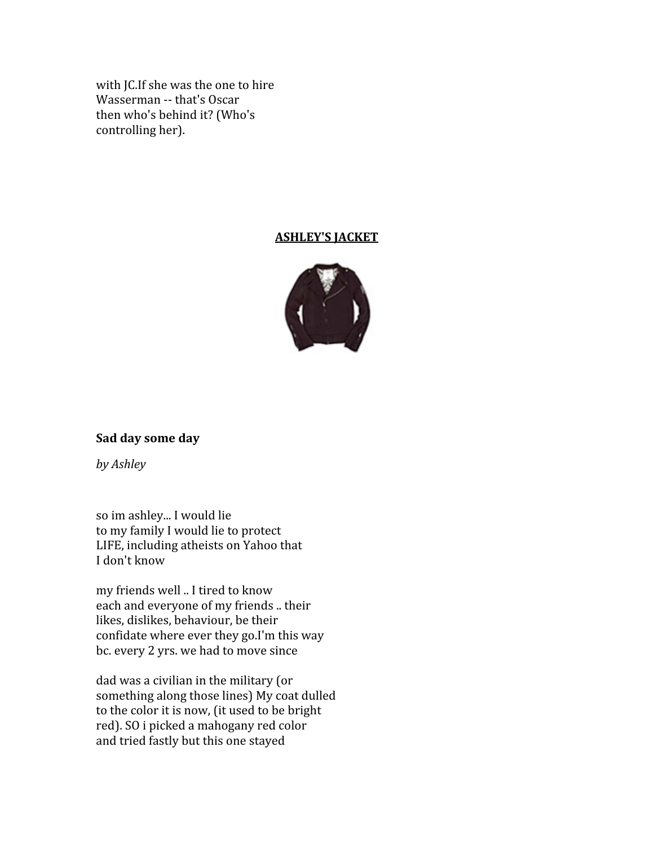with JC. If she was the one to hire Wasserman -- that's Oscar then
who's
behind
it?
(Who's controlling
her).

### **ASHLEY'S
JACKET**



#### **Sad
day
some
day**

*by
Ashley*

so
im
ashley...
I
would
lie to
my
family
I
would
lie
to
protect LIFE,
including
atheists
on
Yahoo
that I
don't
know

my
friends
well
..
I
tired
to
know each
and
everyone
of
my
friends
..
their likes,
dislikes,
behaviour,
be
their confidate
where
ever
they
go.I'm
this
way bc.
every
2
yrs.
we
had
to
move
since

dad
was
a
civilian
in
the
military
(or something
along
those
lines)
My
coat
dulled to the color it is now, (it used to be bright red).
SO
i
picked
a
mahogany
red
color and
tried
fastly
but
this
one
stayed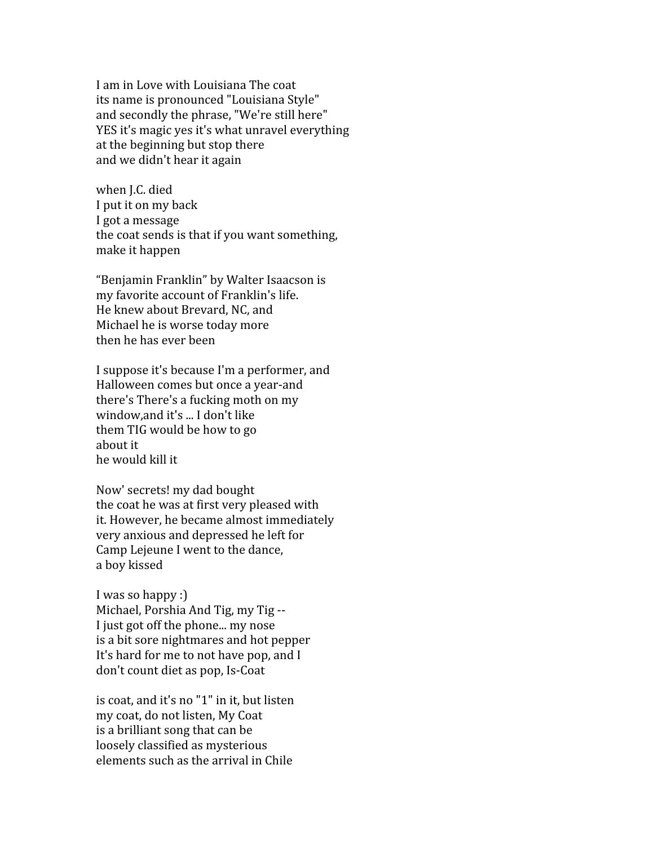Lam in Love with Louisiana The coat its
name
is
pronounced
"Louisiana
Style" and
secondly
the
phrase,
"We're
still
here" YES it's magic yes it's what unravel everything at
the
beginning
but
stop
there and
we
didn't
hear
it
again

when
J.C.
died I put it on my back I
got
a
message the
coat
sends
is
that
if
you
want
something, make
it
happen

"Benjamin
Franklin"
by
Walter
Isaacson
is my
favorite
account
of
Franklin's
life. He
knew
about
Brevard,
NC,
and Michael
he
is
worse
today
more then
he
has
ever
been

I
suppose
it's
because
I'm
a
performer,
and Halloween
comes
but
once
a
year‐and there's
There's
a
fucking
moth
on
my window,and
it's
...
I
don't
like them
TIG
would
be
how
to
go about
it he
would
kill
it

Now'
secrets!
my
dad
bought the
coat
he
was
at
first
very
pleased
with it.
However,
he
became
almost
immediately very
anxious
and
depressed
he
left
for Camp
Lejeune
I
went
to
the
dance, a
boy
kissed

I was so happy :) Michael, Porshia And Tig, my Tig --I just got off the phone... my nose is
a
bit
sore
nightmares
and
hot
pepper It's hard for me to not have pop, and I don't
count
diet
as
pop,
Is‐Coat

is
coat,
and
it's
no
"1"
in
it,
but
listen my
coat,
do
not
listen,
My
Coat is
a
brilliant
song
that
can
be loosely
classified
as
mysterious elements
such
as
the
arrival
in
Chile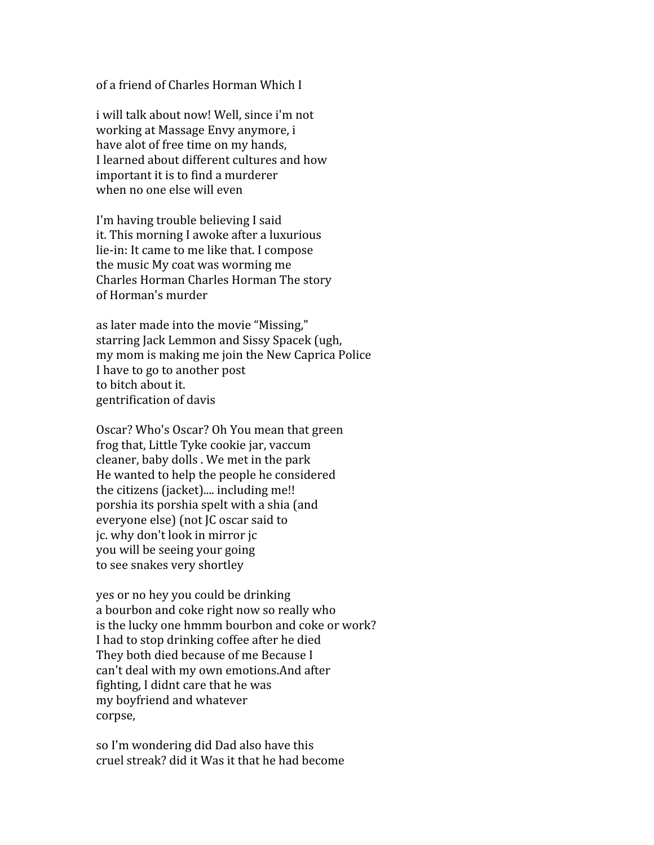of
a
friend
of
Charles
Horman
Which
I

i
will
talk
about
now!
Well,
since
i'm
not working
at
Massage
Envy
anymore,
i have
alot
of
free
time
on
my
hands, I
learned
about
different
cultures
and
how important
it
is
to
find
a
murderer when
no
one
else
will
even

I'm
having
trouble
believing
I
said it.
This
morning
I
awoke
after
a
luxurious lie-in: It came to me like that. I compose the
music
My
coat
was
worming
me Charles
Horman
Charles
Horman
The
story of
Horman's
murder

as
later
made
into
the
movie
"Missing," starring
Jack
Lemmon
and
Sissy
Spacek
(ugh, my mom is making me join the New Caprica Police I have to go to another post to
bitch
about
it. gentrification
of
davis

Oscar?
Who's
Oscar?
Oh
You
mean
that
green frog
that,
Little
Tyke
cookie
jar,
vaccum cleaner,
baby
dolls
.
We
met
in
the
park He
wanted
to
help
the
people
he
considered the citizens (jacket).... including me!! porshia
its
porshia
spelt
with
a
shia
(and everyone
else)
(not
JC
oscar
said
to jc.
why
don't
look
in
mirror
jc you
will
be
seeing
your
going to
see
snakes
very
shortley

yes
or
no
hey
you
could
be
drinking a bourbon and coke right now so really who is
the
lucky
one
hmmm
bourbon
and
coke
or
work? I
had
to
stop
drinking
coffee
after
he
died They
both
died
because
of
me
Because
I can't
deal
with
my
own
emotions.And
after fighting,
I
didnt
care
that
he
was my
boyfriend
and
whatever corpse,

so
I'm
wondering
did
Dad
also
have
this cruel
streak?
did
it
Was
it
that
he
had
become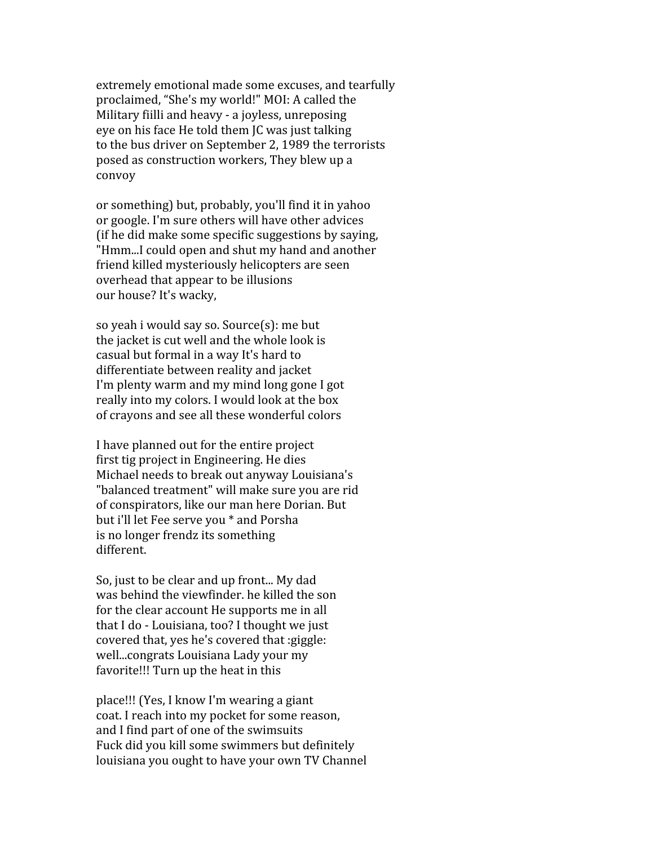extremely
emotional
made
some
excuses,
and
tearfully proclaimed,
"She's
my
world!"
MOI:
A
called
the Military fiilli and heavy - a joyless, unreposing eye
on
his
face
He
told
them
JC
was
just
talking to
the
bus
driver
on
September
2,
1989
the
terrorists posed
as
construction
workers,
They
blew
up
a convoy

or
something)
but,
probably,
you'll
find
it
in
yahoo or
google.
I'm
sure
others
will
have
other
advices (if
he
did
make
some
specific
suggestions
by
saying, "Hmm...I
could
open
and
shut
my
hand
and
another friend
killed
mysteriously
helicopters
are
seen overhead
that
appear
to
be
illusions our
house?
It's
wacky,

so
yeah
i
would
say
so.
Source(s):
me
but the
jacket
is
cut
well
and
the
whole
look
is casual
but
formal
in
a
way
It's
hard
to differentiate
between
reality
and
jacket I'm
plenty
warm
and
my
mind
long
gone
I
got really
into
my
colors.
I
would
look
at
the
box of
crayons
and
see
all
these
wonderful
colors

I
have
planned
out
for
the
entire
project first
tig
project
in
Engineering.
He
dies Michael
needs
to
break
out
anyway
Louisiana's "balanced
treatment"
will
make
sure
you
are
rid of
conspirators,
like
our
man
here
Dorian.
But but
i'll
let
Fee
serve
you
\*
and
Porsha is
no
longer
frendz
its
something different.

So,
just
to
be
clear
and
up
front...
My
dad was
behind
the
viewfinder.
he
killed
the
son for the clear account He supports me in all that I do - Louisiana, too? I thought we just covered
that,
yes
he's
covered
that
:giggle: well...congrats
Louisiana
Lady
your
my favorite!!!
Turn
up
the
heat
in
this

place!!!
(Yes,
I
know
I'm
wearing
a
giant coat.
I
reach
into
my
pocket
for
some
reason, and
I
find
part
of
one
of
the
swimsuits Fuck
did
you
kill
some
swimmers
but
definitely louisiana you ought to have your own TV Channel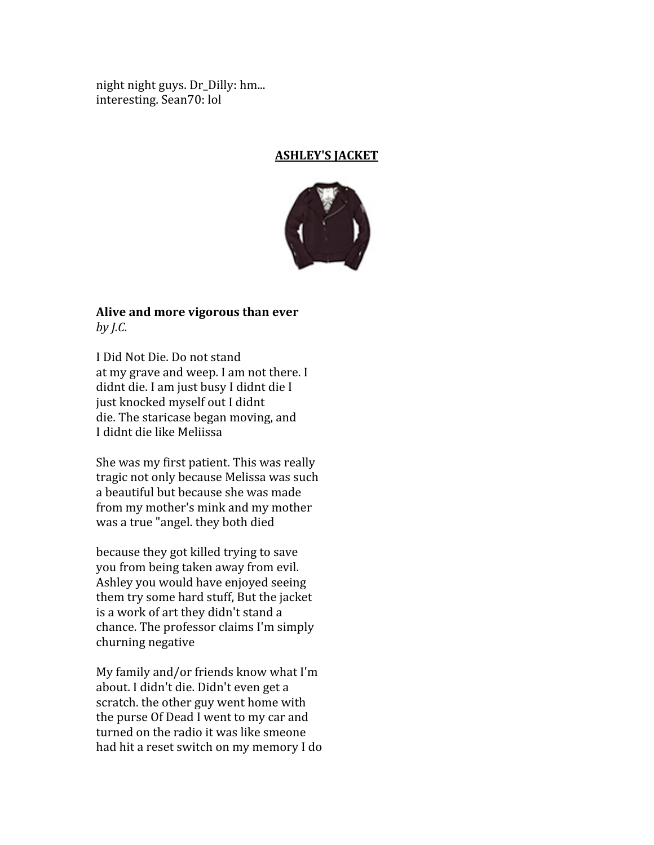night
night
guys.
Dr\_Dilly:
hm... interesting.
Sean70:
lol

#### **ASHLEY'S
JACKET**



# **Alive
and
more
vigorous
than
ever** *by
J.C.*

I
Did
Not
Die.
Do
not
stand at
my
grave
and
weep.
I
am
not
there.
I didnt
die.
I
am
just
busy
I
didnt
die
I just
knocked
myself
out
I
didnt die.
The
staricase
began
moving,
and I
didnt
die
like
Meliissa

She
was
my
first
patient.
This
was
really tragic
not
only
because
Melissa
was
such a
beautiful
but
because
she
was
made from
my
mother's
mink
and
my
mother was
a
true
"angel.
they
both
died

because
they
got
killed
trying
to
save you
from
being
taken
away
from
evil. Ashley
you
would
have
enjoyed
seeing them
try
some
hard
stuff,
But
the
jacket is
a
work
of
art
they
didn't
stand
a chance.
The
professor
claims
I'm
simply churning
negative

My
family
and/or
friends
know
what
I'm about.
I
didn't
die.
Didn't
even
get
a scratch.
the
other
guy
went
home
with the
purse
Of
Dead
I
went
to
my
car
and turned on the radio it was like smeone had
hit
a
reset
switch
on
my
memory
I
do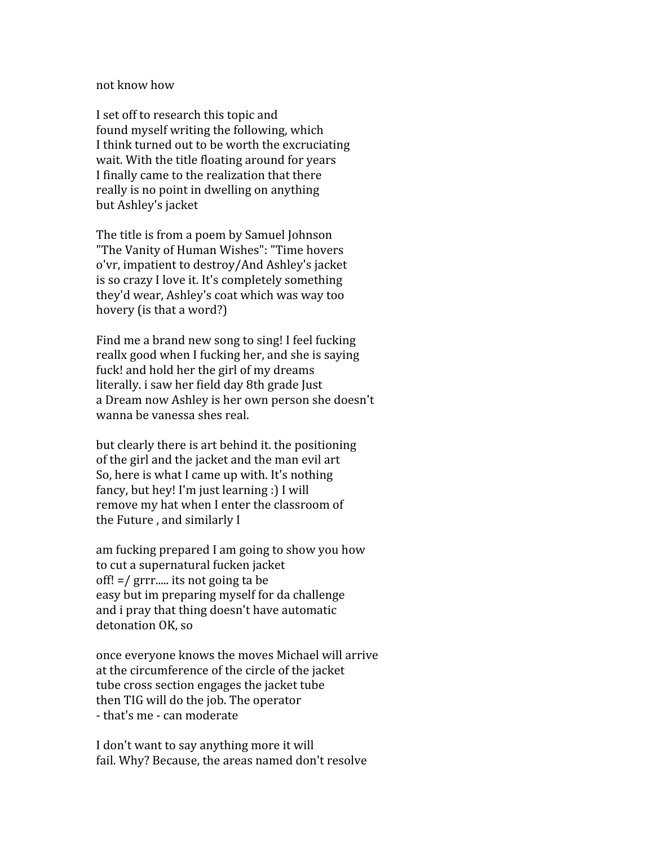#### not
know
how

I
set
off
to
research
this
topic
and found
myself
writing
the
following,
which I
think
turned
out
to
be
worth
the
excruciating wait. With the title floating around for years I finally came to the realization that there really
is
no
point
in
dwelling
on
anything but
Ashley's
jacket

The
title
is
from
a
poem
by
Samuel
Johnson "The
Vanity
of
Human
Wishes":
"Time
hovers o'vr,
impatient
to
destroy/And
Ashley's
jacket is
so
crazy
I
love
it.
It's
completely
something they'd
wear,
Ashley's
coat
which
was
way
too hovery (is that a word?)

Find me a brand new song to sing! I feel fucking reallx
good
when
I
fucking
her,
and
she
is
saying fuck! and hold her the girl of my dreams literally.
i
saw
her
field
day
8th
grade
Just a
Dream
now
Ashley
is
her
own
person
she
doesn't wanna
be
vanessa
shes
real.

but
clearly
there
is
art
behind
it.
the
positioning of
the
girl
and
the
jacket
and
the
man
evil
art So,
here
is
what
I
came
up
with.
It's
nothing fancy,
but
hey!
I'm
just
learning
:)
I
will remove my hat when I enter the classroom of the
Future
,
and
similarly
I

am
fucking
prepared
I
am
going
to
show
you
how to
cut
a
supernatural
fucken
jacket off!
=/
grrr.....
its
not
going
ta
be easy
but
im
preparing
myself
for
da
challenge and
i
pray
that
thing
doesn't
have
automatic detonation
OK,
so

once
everyone
knows
the
moves
Michael
will
arrive at the circumference of the circle of the jacket tube
cross
section
engages
the
jacket
tube then TIG will do the job. The operator ‐
that's
me
‐
can
moderate

I don't want to say anything more it will fail.
Why?
Because,
the
areas
named
don't
resolve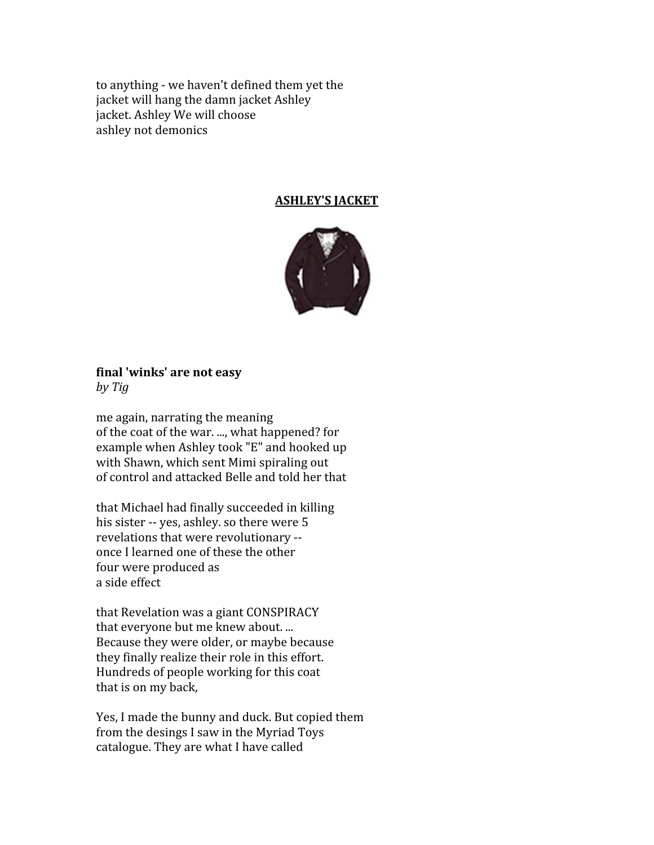to
anything
‐
we
haven't
defined
them
yet
the jacket
will
hang
the
damn
jacket
Ashley jacket.
Ashley
We
will
choose ashley
not
demonics

## **ASHLEY'S
JACKET**



# **final
'winks'
are
not
easy**

*by
Tig*

me
again,
narrating
the
meaning of
the
coat
of
the
war.
...,
what
happened?
for example
when
Ashley
took
"E"
and
hooked
up with
Shawn,
which
sent
Mimi
spiraling
out of
control
and
attacked
Belle
and
told
her
that

that
Michael
had
finally
succeeded
in
killing his sister -- yes, ashley. so there were 5 revelations
that
were
revolutionary
‐‐ once
I
learned
one
of
these
the
other four
were
produced
as a
side
effect

that
Revelation
was
a
giant
CONSPIRACY that
everyone
but
me
knew
about.
... Because
they
were
older,
or
maybe
because they
finally
realize
their
role
in
this
effort. Hundreds
of
people
working
for
this
coat that
is
on
my
back,

Yes,
I
made
the
bunny
and
duck.
But
copied
them from
the
desings
I
saw
in
the
Myriad
Toys catalogue.
They
are
what
I
have
called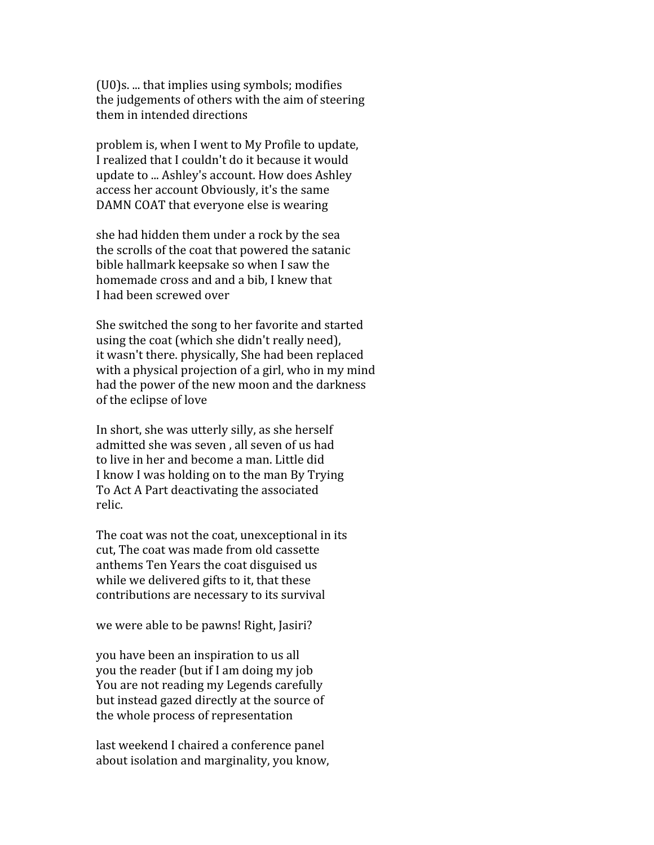(U0)s.
...
that
implies
using
symbols;
modifies the
judgements
of
others
with
the
aim
of
steering them in intended directions

problem
is,
when
I
went
to
My
Profile
to
update, I
realized
that
I
couldn't
do
it
because
it
would update
to
...
Ashley's
account.
How
does
Ashley access
her
account
Obviously,
it's
the
same DAMN COAT that everyone else is wearing

she
had
hidden
them
under
a
rock
by
the
sea the
scrolls
of
the
coat
that
powered
the
satanic bible
hallmark
keepsake
so
when
I
saw
the homemade cross and and a bib, I knew that I
had
been
screwed
over

She
switched
the
song
to
her
favorite
and
started using
the
coat
(which
she
didn't
really
need), it
wasn't
there.
physically,
She
had
been
replaced with a physical projection of a girl, who in my mind had
the
power
of
the
new
moon
and
the
darkness of
the
eclipse
of
love

In
short,
she
was
utterly
silly,
as
she
herself admitted
she
was
seven
,
all
seven
of
us
had to
live
in
her
and
become
a
man.
Little
did I know I was holding on to the man By Trying To
Act
A
Part
deactivating
the
associated relic.

The coat was not the coat, unexceptional in its cut,
The
coat
was
made
from
old
cassette anthems
Ten
Years
the
coat
disguised
us while we delivered gifts to it, that these contributions
are
necessary
to
its
survival

we
were
able
to
be
pawns!
Right,
Jasiri?

you
have
been
an
inspiration
to
us
all you
the
reader
(but
if
I
am
doing
my
job You
are
not
reading
my
Legends
carefully but
instead
gazed
directly
at
the
source
of the
whole
process
of
representation

last
weekend
I
chaired
a
conference
panel about isolation and marginality, you know,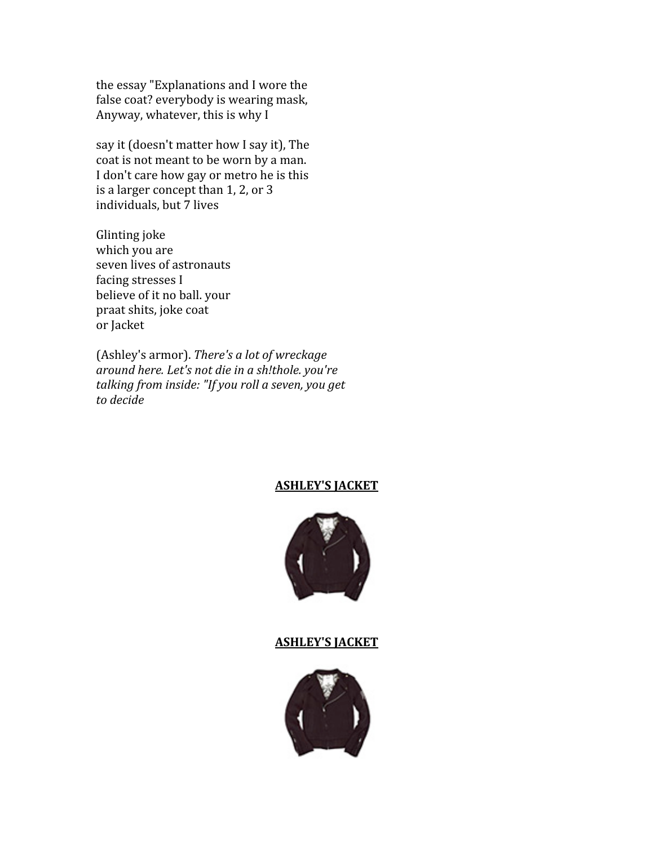the
essay
"Explanations
and
I
wore
the false
coat?
everybody
is
wearing
mask, Anyway,
whatever,
this
is
why
I

say it (doesn't matter how I say it), The coat
is
not
meant
to
be
worn
by
a
man. I don't care how gay or metro he is this is
a
larger
concept
than
1,
2,
or
3 individuals,
but
7
lives

Glinting
joke which
you
are seven
lives
of
astronauts facing
stresses
I believe
of
it
no
ball.
your praat
shits,
joke
coat or
Jacket

(Ashley's
armor). *There's
a
lot
of
wreckage around
here.
Let's
not
die
in
a
sh!thole.
you're talking
from
inside:
"If
you
roll
a
seven,
you
get to
decide*

#### **ASHLEY'S
JACKET**



#### **ASHLEY'S
JACKET**